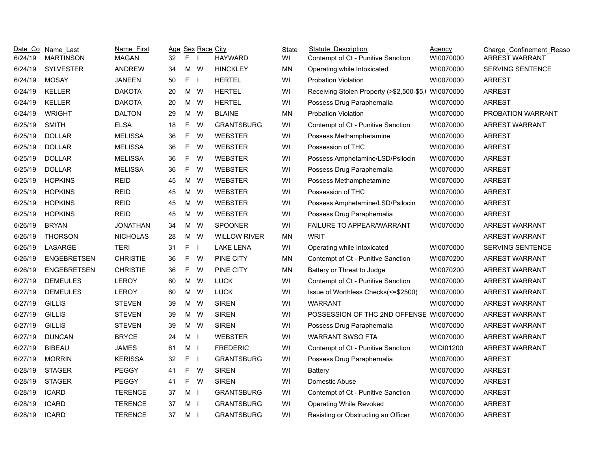|         | Date Co Name Last  | Name First      |                 |                | Age Sex Race City |                     | State     | <b>Statute Description</b>                          | Agency    | Charge Confinement Reaso |
|---------|--------------------|-----------------|-----------------|----------------|-------------------|---------------------|-----------|-----------------------------------------------------|-----------|--------------------------|
| 6/24/19 | <b>MARTINSON</b>   | <b>MAGAN</b>    | 32 <sup>2</sup> | F <sub>1</sub> |                   | <b>HAYWARD</b>      | WI        | Contempt of Ct - Punitive Sanction                  | WI0070000 | ARREST WARRANT           |
| 6/24/19 | <b>SYLVESTER</b>   | <b>ANDREW</b>   | 34              |                | M W               | <b>HINCKLEY</b>     | MN        | Operating while Intoxicated                         | WI0070000 | <b>SERVING SENTENCE</b>  |
| 6/24/19 | <b>MOSAY</b>       | <b>JANEEN</b>   | 50              | F <sub>1</sub> |                   | <b>HERTEL</b>       | WI        | <b>Probation Violation</b>                          | WI0070000 | <b>ARREST</b>            |
| 6/24/19 | KELLER             | <b>DAKOTA</b>   | 20              | M W            |                   | <b>HERTEL</b>       | WI        | Receiving Stolen Property (>\$2,500-\$5,\ WI0070000 |           | <b>ARREST</b>            |
| 6/24/19 | KELLER             | <b>DAKOTA</b>   | 20              |                | M W               | <b>HERTEL</b>       | WI        | Possess Drug Paraphernalia                          | WI0070000 | <b>ARREST</b>            |
| 6/24/19 | <b>WRIGHT</b>      | <b>DALTON</b>   | 29              |                | M W               | <b>BLAINE</b>       | <b>MN</b> | <b>Probation Violation</b>                          | WI0070000 | PROBATION WARRANT        |
| 6/25/19 | <b>SMITH</b>       | <b>ELSA</b>     | 18              | F.             | W                 | <b>GRANTSBURG</b>   | WI        | Contempt of Ct - Punitive Sanction                  | WI0070000 | <b>ARREST WARRANT</b>    |
| 6/25/19 | <b>DOLLAR</b>      | <b>MELISSA</b>  | 36              | F              | W                 | <b>WEBSTER</b>      | WI        | Possess Methamphetamine                             | WI0070000 | <b>ARREST</b>            |
| 6/25/19 | <b>DOLLAR</b>      | <b>MELISSA</b>  | 36              | F.             | W                 | <b>WEBSTER</b>      | WI        | Possession of THC                                   | WI0070000 | <b>ARREST</b>            |
| 6/25/19 | <b>DOLLAR</b>      | <b>MELISSA</b>  | 36              | F              | W                 | <b>WEBSTER</b>      | WI        | Possess Amphetamine/LSD/Psilocin                    | WI0070000 | <b>ARREST</b>            |
| 6/25/19 | <b>DOLLAR</b>      | <b>MELISSA</b>  | 36              | F.             | W                 | <b>WEBSTER</b>      | WI        | Possess Drug Paraphernalia                          | WI0070000 | <b>ARREST</b>            |
| 6/25/19 | <b>HOPKINS</b>     | <b>REID</b>     | 45              | M              | W                 | <b>WEBSTER</b>      | WI        | Possess Methamphetamine                             | WI0070000 | <b>ARREST</b>            |
| 6/25/19 | <b>HOPKINS</b>     | <b>REID</b>     | 45              | M W            |                   | <b>WEBSTER</b>      | WI        | Possession of THC                                   | WI0070000 | <b>ARREST</b>            |
| 6/25/19 | <b>HOPKINS</b>     | <b>REID</b>     | 45              | M              | W                 | WEBSTER             | WI        | Possess Amphetamine/LSD/Psilocin                    | WI0070000 | <b>ARREST</b>            |
| 6/25/19 | <b>HOPKINS</b>     | <b>REID</b>     | 45              | M              | W                 | <b>WEBSTER</b>      | WI        | Possess Drug Paraphernalia                          | WI0070000 | <b>ARREST</b>            |
| 6/26/19 | <b>BRYAN</b>       | <b>JONATHAN</b> | 34              | M              | W                 | <b>SPOONER</b>      | WI        | FAILURE TO APPEAR/WARRANT                           | WI0070000 | ARREST WARRANT           |
| 6/26/19 | <b>THORSON</b>     | <b>NICHOLAS</b> | 28              | M W            |                   | <b>WILLOW RIVER</b> | <b>MN</b> | <b>WRIT</b>                                         |           | ARREST WARRANT           |
| 6/26/19 | LASARGE            | <b>TERI</b>     | 31              | F.             | $\blacksquare$    | <b>LAKE LENA</b>    | WI        | Operating while Intoxicated                         | WI0070000 | SERVING SENTENCE         |
| 6/26/19 | <b>ENGEBRETSEN</b> | <b>CHRISTIE</b> | 36              | F              | W                 | PINE CITY           | <b>MN</b> | Contempt of Ct - Punitive Sanction                  | WI0070200 | ARREST WARRANT           |
| 6/26/19 | <b>ENGEBRETSEN</b> | <b>CHRISTIE</b> | 36              | F.             | W                 | PINE CITY           | <b>MN</b> | Battery or Threat to Judge                          | WI0070200 | ARREST WARRANT           |
| 6/27/19 | <b>DEMEULES</b>    | LEROY           | 60              | M W            |                   | <b>LUCK</b>         | WI        | Contempt of Ct - Punitive Sanction                  | WI0070000 | ARREST WARRANT           |
| 6/27/19 | <b>DEMEULES</b>    | <b>LEROY</b>    | 60              | M W            |                   | <b>LUCK</b>         | WI        | Issue of Worthless Checks(<=\$2500)                 | WI0070000 | ARREST WARRANT           |
| 6/27/19 | <b>GILLIS</b>      | <b>STEVEN</b>   | 39              |                | M W               | <b>SIREN</b>        | WI        | <b>WARRANT</b>                                      | WI0070000 | ARREST WARRANT           |
| 6/27/19 | <b>GILLIS</b>      | <b>STEVEN</b>   | 39              |                | M W               | <b>SIREN</b>        | WI        | POSSESSION OF THC 2ND OFFENSE W10070000             |           | ARREST WARRANT           |
| 6/27/19 | <b>GILLIS</b>      | <b>STEVEN</b>   | 39              | M W            |                   | <b>SIREN</b>        | WI        | Possess Drug Paraphernalia                          | WI0070000 | ARREST WARRANT           |
| 6/27/19 | <b>DUNCAN</b>      | <b>BRYCE</b>    | 24              | M <sub>l</sub> |                   | <b>WEBSTER</b>      | WI        | <b>WARRANT SWSO FTA</b>                             | WI0070000 | ARREST WARRANT           |
| 6/27/19 | <b>BIBEAU</b>      | <b>JAMES</b>    | 61              | M <sub>l</sub> |                   | <b>FREDERIC</b>     | WI        | Contempt of Ct - Punitive Sanction                  | WIDI01200 | ARREST WARRANT           |
| 6/27/19 | <b>MORRIN</b>      | <b>KERISSA</b>  | 32              | $F \quad I$    |                   | <b>GRANTSBURG</b>   | WI        | Possess Drug Paraphernalia                          | WI0070000 | <b>ARREST</b>            |
| 6/28/19 | <b>STAGER</b>      | <b>PEGGY</b>    | 41              | F.             | <b>W</b>          | <b>SIREN</b>        | WI        | Battery                                             | WI0070000 | <b>ARREST</b>            |
| 6/28/19 | <b>STAGER</b>      | <b>PEGGY</b>    | 41              | F              | W                 | <b>SIREN</b>        | WI        | Domestic Abuse                                      | WI0070000 | <b>ARREST</b>            |
| 6/28/19 | <b>ICARD</b>       | <b>TERENCE</b>  | 37              | M <sub>l</sub> |                   | <b>GRANTSBURG</b>   | WI        | Contempt of Ct - Punitive Sanction                  | WI0070000 | <b>ARREST</b>            |
| 6/28/19 | <b>ICARD</b>       | <b>TERENCE</b>  | 37              | M <sub>l</sub> |                   | <b>GRANTSBURG</b>   | WI        | <b>Operating While Revoked</b>                      | WI0070000 | <b>ARREST</b>            |
| 6/28/19 | <b>ICARD</b>       | <b>TERENCE</b>  | 37              | M I            |                   | <b>GRANTSBURG</b>   | WI        | Resisting or Obstructing an Officer                 | WI0070000 | <b>ARREST</b>            |